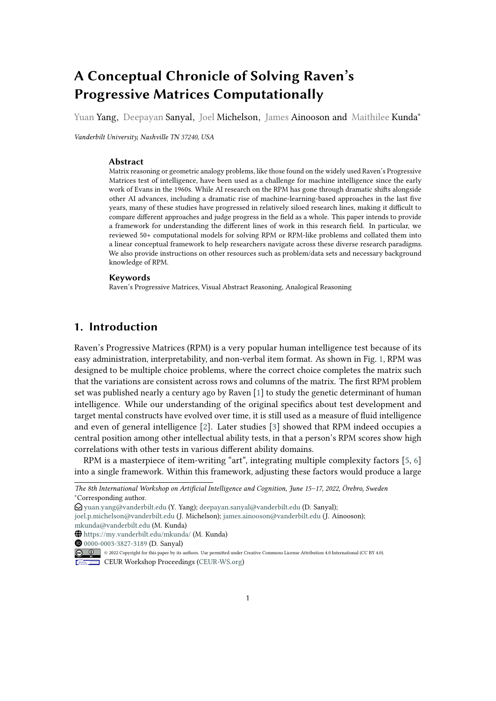# **A Conceptual Chronicle of Solving Raven's Progressive Matrices Computationally**

Yuan Yang, Deepayan Sanyal, Joel Michelson, James Ainooson and Maithilee Kunda<sup>\*</sup>

*Vanderbilt University, Nashville TN 37240, USA*

### **Abstract**

Matrix reasoning or geometric analogy problems, like those found on the widely used Raven's Progressive Matrices test of intelligence, have been used as a challenge for machine intelligence since the early work of Evans in the 1960s. While AI research on the RPM has gone through dramatic shifts alongside other AI advances, including a dramatic rise of machine-learning-based approaches in the last five years, many of these studies have progressed in relatively siloed research lines, making it difficult to compare different approaches and judge progress in the field as a whole. This paper intends to provide a framework for understanding the different lines of work in this research field. In particular, we reviewed 50+ computational models for solving RPM or RPM-like problems and collated them into a linear conceptual framework to help researchers navigate across these diverse research paradigms. We also provide instructions on other resources such as problem/data sets and necessary background knowledge of RPM.

#### **Keywords**

Raven's Progressive Matrices, Visual Abstract Reasoning, Analogical Reasoning

# **1. Introduction**

Raven's Progressive Matrices (RPM) is a very popular human intelligence test because of its easy administration, interpretability, and non-verbal item format. As shown in Fig. [1,](#page-1-0) RPM was designed to be multiple choice problems, where the correct choice completes the matrix such that the variations are consistent across rows and columns of the matrix. The first RPM problem set was published nearly a century ago by Raven [\[1\]](#page-9-0) to study the genetic determinant of human intelligence. While our understanding of the original specifics about test development and target mental constructs have evolved over time, it is still used as a measure of fluid intelligence and even of general intelligence [\[2\]](#page-9-1). Later studies [\[3\]](#page-9-2) showed that RPM indeed occupies a central position among other intellectual ability tests, in that a person's RPM scores show high correlations with other tests in various different ability domains.

RPM is a masterpiece of item-writing "art", integrating multiple complexity factors [\[5,](#page-10-0) [6\]](#page-10-1) into a single framework. Within this framework, adjusting these factors would produce a large

[joel.p.michelson@vanderbilt.edu](mailto:joel.p.michelson@vanderbilt.edu) (J. Michelson); [james.ainooson@vanderbilt.edu](mailto:james.ainooson@vanderbilt.edu) (J. Ainooson); [mkunda@vanderbilt.edu](mailto:mkunda@vanderbilt.edu) (M. Kunda)

CEUR Workshop [Proceedings](http://ceur-ws.org) [\(CEUR-WS.org\)](http://ceur-ws.org)

*The 8th International Workshop on Artificial Intelligence and Cognition, June 15–17, 2022, Örebro, Sweden* <sup>∗</sup>Corresponding author.

 $\bigcirc$  [yuan.yang@vanderbilt.edu](mailto:yuan.yang@vanderbilt.edu) (Y. Yang); [deepayan.sanyal@vanderbilt.edu](mailto:deepayan.sanyal@vanderbilt.edu) (D. Sanyal);

 $\bigoplus$  <https://my.vanderbilt.edu/mkunda/> (M. Kunda)

**D** [0000-0003-3827-3189](https://orcid.org/0000-0003-3827-3189) (D. Sanyal)

<sup>© 2022</sup> Copyright for this paper by its authors. Use permitted under Creative Commons License Attribution 4.0 International (CC BY 4.0).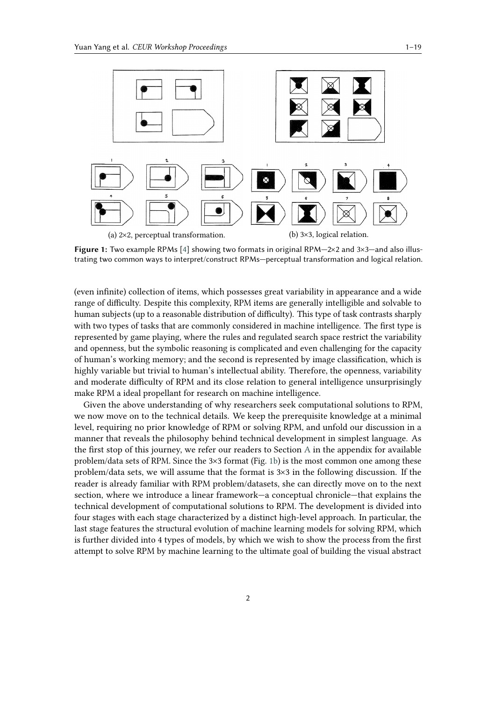<span id="page-1-0"></span>

**Figure 1:** Two example RPMs [\[4\]](#page-10-2) showing two formats in original RPM-2×2 and 3×3-and also illustrating two common ways to interpret/construct RPMs—perceptual transformation and logical relation.

(even infinite) collection of items, which possesses great variability in appearance and a wide range of difficulty. Despite this complexity, RPM items are generally intelligible and solvable to human subjects (up to a reasonable distribution of difficulty). This type of task contrasts sharply with two types of tasks that are commonly considered in machine intelligence. The first type is represented by game playing, where the rules and regulated search space restrict the variability and openness, but the symbolic reasoning is complicated and even challenging for the capacity of human's working memory; and the second is represented by image classification, which is highly variable but trivial to human's intellectual ability. Therefore, the openness, variability and moderate difficulty of RPM and its close relation to general intelligence unsurprisingly make RPM a ideal propellant for research on machine intelligence.

Given the above understanding of why researchers seek computational solutions to RPM, we now move on to the technical details. We keep the prerequisite knowledge at a minimal level, requiring no prior knowledge of RPM or solving RPM, and unfold our discussion in a manner that reveals the philosophy behind technical development in simplest language. As the first stop of this journey, we refer our readers to Section [A](#page-13-0) in the appendix for available problem/data sets of RPM. Since the 3×3 format (Fig. [1b\)](#page-1-0) is the most common one among these problem/data sets, we will assume that the format is 3×3 in the following discussion. If the reader is already familiar with RPM problem/datasets, she can directly move on to the next section, where we introduce a linear framework—a conceptual chronicle—that explains the technical development of computational solutions to RPM. The development is divided into four stages with each stage characterized by a distinct high-level approach. In particular, the last stage features the structural evolution of machine learning models for solving RPM, which is further divided into 4 types of models, by which we wish to show the process from the first attempt to solve RPM by machine learning to the ultimate goal of building the visual abstract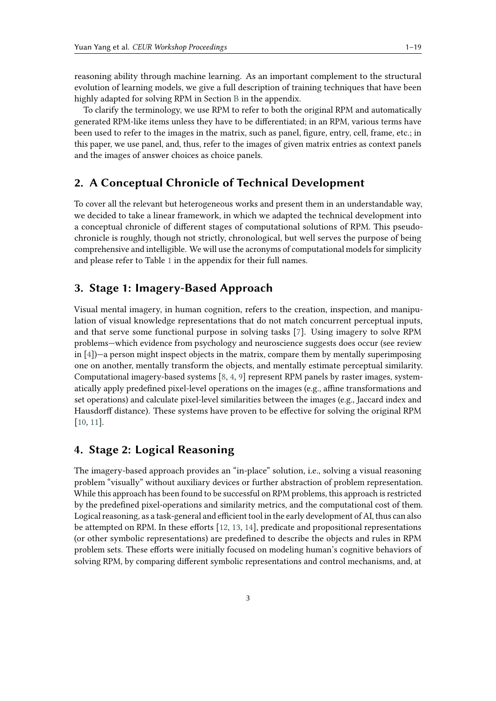reasoning ability through machine learning. As an important complement to the structural evolution of learning models, we give a full description of training techniques that have been highly adapted for solving RPM in Section [B](#page-14-0) in the appendix.

To clarify the terminology, we use RPM to refer to both the original RPM and automatically generated RPM-like items unless they have to be differentiated; in an RPM, various terms have been used to refer to the images in the matrix, such as panel, figure, entry, cell, frame, etc.; in this paper, we use panel, and, thus, refer to the images of given matrix entries as context panels and the images of answer choices as choice panels.

# **2. A Conceptual Chronicle of Technical Development**

To cover all the relevant but heterogeneous works and present them in an understandable way, we decided to take a linear framework, in which we adapted the technical development into a conceptual chronicle of different stages of computational solutions of RPM. This pseudochronicle is roughly, though not strictly, chronological, but well serves the purpose of being comprehensive and intelligible. We will use the acronyms of computational models for simplicity and please refer to Table [1](#page-18-0) in the appendix for their full names.

# **3. Stage 1: Imagery-Based Approach**

Visual mental imagery, in human cognition, refers to the creation, inspection, and manipulation of visual knowledge representations that do not match concurrent perceptual inputs, and that serve some functional purpose in solving tasks [\[7\]](#page-10-3). Using imagery to solve RPM problems—which evidence from psychology and neuroscience suggests does occur (see review in [\[4\]](#page-10-2))—a person might inspect objects in the matrix, compare them by mentally superimposing one on another, mentally transform the objects, and mentally estimate perceptual similarity. Computational imagery-based systems [\[8,](#page-10-4) [4,](#page-10-2) [9\]](#page-10-5) represent RPM panels by raster images, systematically apply predefined pixel-level operations on the images (e.g., affine transformations and set operations) and calculate pixel-level similarities between the images (e.g., Jaccard index and Hausdorff distance). These systems have proven to be effective for solving the original RPM [\[10,](#page-10-6) [11\]](#page-10-7).

# **4. Stage 2: Logical Reasoning**

The imagery-based approach provides an "in-place" solution, i.e., solving a visual reasoning problem "visually" without auxiliary devices or further abstraction of problem representation. While this approach has been found to be successful on RPM problems, this approach is restricted by the predefined pixel-operations and similarity metrics, and the computational cost of them. Logical reasoning, as a task-general and efficient tool in the early development of AI, thus can also be attempted on RPM. In these efforts [\[12,](#page-10-8) [13,](#page-10-9) [14\]](#page-10-10), predicate and propositional representations (or other symbolic representations) are predefined to describe the objects and rules in RPM problem sets. These efforts were initially focused on modeling human's cognitive behaviors of solving RPM, by comparing different symbolic representations and control mechanisms, and, at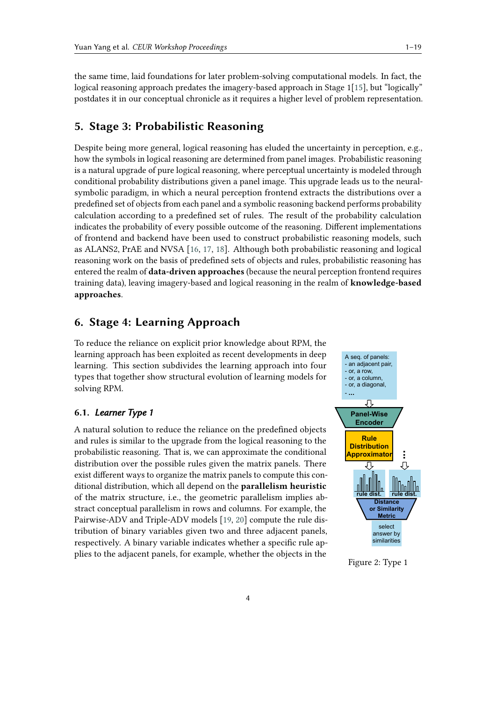the same time, laid foundations for later problem-solving computational models. In fact, the logicalreasoning approach predates the imagery-based approach in Stage 1[\[15\]](#page-10-11), but "logically" postdates it in our conceptual chronicle as it requires a higher level of problem representation.

# **5. Stage 3: Probabilistic Reasoning**

Despite being more general, logical reasoning has eluded the uncertainty in perception, e.g., how the symbols in logical reasoning are determined from panel images. Probabilistic reasoning is a natural upgrade of pure logical reasoning, where perceptual uncertainty is modeled through conditional probability distributions given a panel image. This upgrade leads us to the neuralsymbolic paradigm, in which a neural perception frontend extracts the distributions over a predefined set of objects from each panel and a symbolic reasoning backend performs probability calculation according to a predefined set of rules. The result of the probability calculation indicates the probability of every possible outcome of the reasoning. Different implementations of frontend and backend have been used to construct probabilistic reasoning models, such as ALANS2, PrAE and NVSA [\[16,](#page-10-12) [17,](#page-10-13) [18\]](#page-10-14). Although both probabilistic reasoning and logical reasoning work on the basis of predefined sets of objects and rules, probabilistic reasoning has entered the realm of **data-driven approaches** (because the neural perception frontend requires training data), leaving imagery-based and logical reasoning in the realm of **knowledge-based approaches**.

# **6. Stage 4: Learning Approach**

To reduce the reliance on explicit prior knowledge about RPM, the learning approach has been exploited as recent developments in deep learning. This section subdivides the learning approach into four types that together show structural evolution of learning models for solving RPM.

# **6.1.** *Learner Type 1*

A natural solution to reduce the reliance on the predefined objects and rules is similar to the upgrade from the logical reasoning to the probabilistic reasoning. That is, we can approximate the conditional distribution over the possible rules given the matrix panels. There exist different ways to organize the matrix panels to compute this conditional distribution, which all depend on the **parallelism heuristic** of the matrix structure, i.e., the geometric parallelism implies abstract conceptual parallelism in rows and columns. For example, the Pairwise-ADV and Triple-ADV models [\[19,](#page-10-15) [20\]](#page-10-16) compute the rule distribution of binary variables given two and three adjacent panels, respectively. A binary variable indicates whether a specific rule applies to the adjacent panels, for example, whether the objects in the

<span id="page-3-0"></span>

Figure 2: Type 1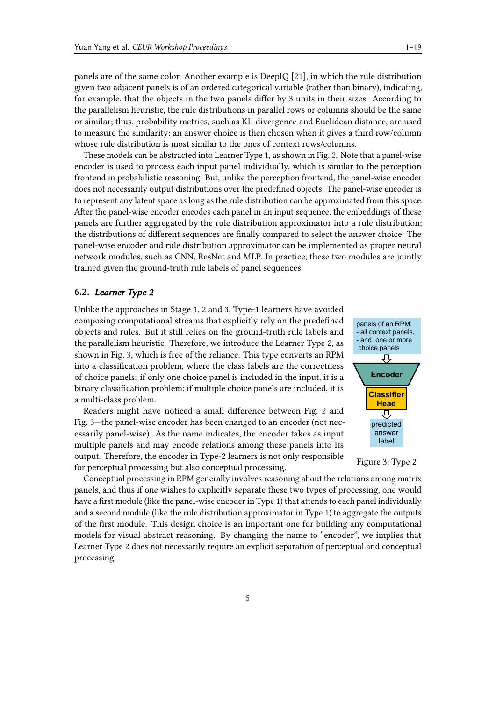panels are of the same color. Another example is DeepIQ [\[21\]](#page-10-17), in which the rule distribution given two adjacent panels is of an ordered categorical variable (rather than binary), indicating, for example, that the objects in the two panels differ by 3 units in their sizes. According to the parallelism heuristic, the rule distributions in parallel rows or columns should be the same or similar; thus, probability metrics, such as KL-divergence and Euclidean distance, are used to measure the similarity; an answer choice is then chosen when it gives a third row/column whose rule distribution is most similar to the ones of context rows/columns.

These models can be abstracted into Learner Type 1, as shown in Fig. [2.](#page-3-0) Note that a panel-wise encoder is used to process each input panel individually, which is similar to the perception frontend in probabilistic reasoning. But, unlike the perception frontend, the panel-wise encoder does not necessarily output distributions over the predefined objects. The panel-wise encoder is to represent any latent space as long as the rule distribution can be approximated from this space. After the panel-wise encoder encodes each panel in an input sequence, the embeddings of these panels are further aggregated by the rule distribution approximator into a rule distribution; the distributions of different sequences are finally compared to select the answer choice. The panel-wise encoder and rule distribution approximator can be implemented as proper neural network modules, such as CNN, ResNet and MLP. In practice, these two modules are jointly trained given the ground-truth rule labels of panel sequences.

### **6.2.** *Learner Type 2*

Unlike the approaches in Stage 1, 2 and 3, Type-1 learners have avoided composing computational streams that explicitly rely on the predefined objects and rules. But it still relies on the ground-truth rule labels and the parallelism heuristic. Therefore, we introduce the Learner Type 2, as shown in Fig. [3,](#page-4-0) which is free of the reliance. This type converts an RPM into a classification problem, where the class labels are the correctness of choice panels: if only one choice panel is included in the input, it is a binary classification problem; if multiple choice panels are included, it is a multi-class problem.

Readers might have noticed a small difference between Fig. [2](#page-3-0) and Fig. [3—](#page-4-0)the panel-wise encoder has been changed to an encoder (not necessarily panel-wise). As the name indicates, the encoder takes as input multiple panels and may encode relations among these panels into its output. Therefore, the encoder in Type-2 learners is not only responsible for perceptual processing but also conceptual processing.

<span id="page-4-0"></span>



Conceptual processing in RPM generally involves reasoning about the relations among matrix panels, and thus if one wishes to explicitly separate these two types of processing, one would have a first module (like the panel-wise encoder in Type 1) that attends to each panel individually and a second module (like the rule distribution approximator in Type 1) to aggregate the outputs of the first module. This design choice is an important one for building any computational models for visual abstract reasoning. By changing the name to "encoder", we implies that Learner Type 2 does not necessarily require an explicit separation of perceptual and conceptual processing.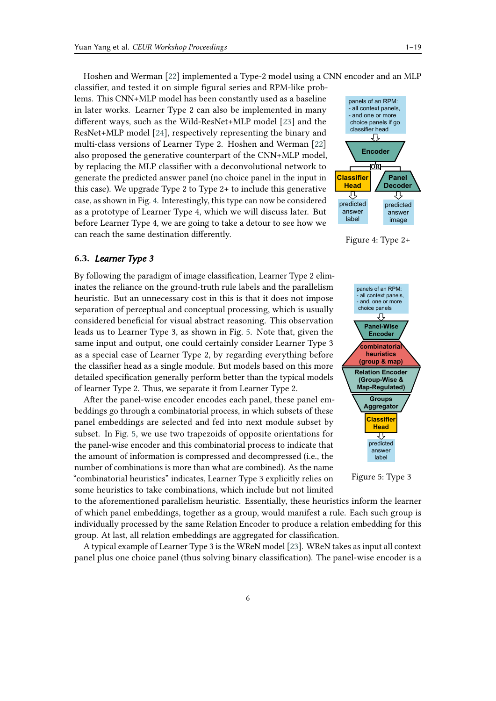Hoshen and Werman [\[22\]](#page-11-0) implemented a Type-2 model using a CNN encoder and an MLP classifier, and tested it on simple figural series and RPM-like problems. This CNN+MLP model has been constantly used as a baseline in later works. Learner Type 2 can also be implemented in many different ways, such as the Wild-ResNet+MLP model [\[23\]](#page-11-1) and the ResNet+MLP model [\[24\]](#page-11-2), respectively representing the binary and multi-class versions of Learner Type 2. Hoshen and Werman [\[22\]](#page-11-0) also proposed the generative counterpart of the CNN+MLP model, by replacing the MLP classifier with a deconvolutional network to generate the predicted answer panel (no choice panel in the input in this case). We upgrade Type 2 to Type 2+ to include this generative case, as shown in Fig. [4.](#page-5-0) Interestingly, this type can now be considered as a prototype of Learner Type 4, which we will discuss later. But before Learner Type 4, we are going to take a detour to see how we can reach the same destination differently.

### **6.3.** *Learner Type 3*

By following the paradigm of image classification, Learner Type 2 eliminates the reliance on the ground-truth rule labels and the parallelism heuristic. But an unnecessary cost in this is that it does not impose separation of perceptual and conceptual processing, which is usually considered beneficial for visual abstract reasoning. This observation leads us to Learner Type 3, as shown in Fig. [5.](#page-5-1) Note that, given the same input and output, one could certainly consider Learner Type 3 as a special case of Learner Type 2, by regarding everything before the classifier head as a single module. But models based on this more detailed specification generally perform better than the typical models of learner Type 2. Thus, we separate it from Learner Type 2.

After the panel-wise encoder encodes each panel, these panel embeddings go through a combinatorial process, in which subsets of these panel embeddings are selected and fed into next module subset by subset. In Fig. [5,](#page-5-1) we use two trapezoids of opposite orientations for the panel-wise encoder and this combinatorial process to indicate that the amount of information is compressed and decompressed (i.e., the number of combinations is more than what are combined). As the name "combinatorial heuristics" indicates, Learner Type 3 explicitly relies on some heuristics to take combinations, which include but not limited

to the aforementioned parallelism heuristic. Essentially, these heuristics inform the learner of which panel embeddings, together as a group, would manifest a rule. Each such group is individually processed by the same Relation Encoder to produce a relation embedding for this group. At last, all relation embeddings are aggregated for classification.

A typical example of Learner Type 3 is the WReN model [\[23\]](#page-11-1). WReN takes as input all context panel plus one choice panel (thus solving binary classification). The panel-wise encoder is a

<span id="page-5-0"></span>

Figure 4: Type 2+

<span id="page-5-1"></span>

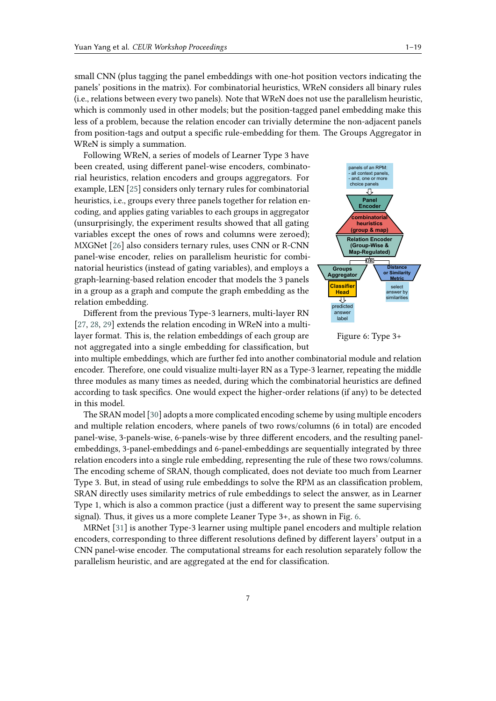small CNN (plus tagging the panel embeddings with one-hot position vectors indicating the panels' positions in the matrix). For combinatorial heuristics, WReN considers all binary rules (i.e., relations between every two panels). Note that WReN does not use the parallelism heuristic, which is commonly used in other models; but the position-tagged panel embedding make this less of a problem, because the relation encoder can trivially determine the non-adjacent panels from position-tags and output a specific rule-embedding for them. The Groups Aggregator in WReN is simply a summation.

Following WReN, a series of models of Learner Type 3 have been created, using different panel-wise encoders, combinatorial heuristics, relation encoders and groups aggregators. For example, LEN [\[25\]](#page-11-3) considers only ternary rules for combinatorial heuristics, i.e., groups every three panels together for relation encoding, and applies gating variables to each groups in aggregator (unsurprisingly, the experiment results showed that all gating variables except the ones of rows and columns were zeroed); MXGNet [\[26\]](#page-11-4) also considers ternary rules, uses CNN or R-CNN panel-wise encoder, relies on parallelism heuristic for combinatorial heuristics (instead of gating variables), and employs a graph-learning-based relation encoder that models the 3 panels in a group as a graph and compute the graph embedding as the relation embedding.

Different from the previous Type-3 learners, multi-layer RN [\[27,](#page-11-5) [28,](#page-11-6) [29\]](#page-11-7) extends the relation encoding in WReN into a multilayer format. This is, the relation embeddings of each group are not aggregated into a single embedding for classification, but

<span id="page-6-0"></span>

Figure 6: Type 3+

into multiple embeddings, which are further fed into another combinatorial module and relation encoder. Therefore, one could visualize multi-layer RN as a Type-3 learner, repeating the middle three modules as many times as needed, during which the combinatorial heuristics are defined according to task specifics. One would expect the higher-order relations (if any) to be detected in this model.

The SRAN model [\[30\]](#page-11-8) adopts a more complicated encoding scheme by using multiple encoders and multiple relation encoders, where panels of two rows/columns (6 in total) are encoded panel-wise, 3-panels-wise, 6-panels-wise by three different encoders, and the resulting panelembeddings, 3-panel-embeddings and 6-panel-embeddings are sequentially integrated by three relation encoders into a single rule embedding, representing the rule of these two rows/columns. The encoding scheme of SRAN, though complicated, does not deviate too much from Learner Type 3. But, in stead of using rule embeddings to solve the RPM as an classification problem, SRAN directly uses similarity metrics of rule embeddings to select the answer, as in Learner Type 1, which is also a common practice (just a different way to present the same supervising signal). Thus, it gives us a more complete Leaner Type 3+, as shown in Fig. [6.](#page-6-0)

MRNet [\[31\]](#page-11-9) is another Type-3 learner using multiple panel encoders and multiple relation encoders, corresponding to three different resolutions defined by different layers' output in a CNN panel-wise encoder. The computational streams for each resolution separately follow the parallelism heuristic, and are aggregated at the end for classification.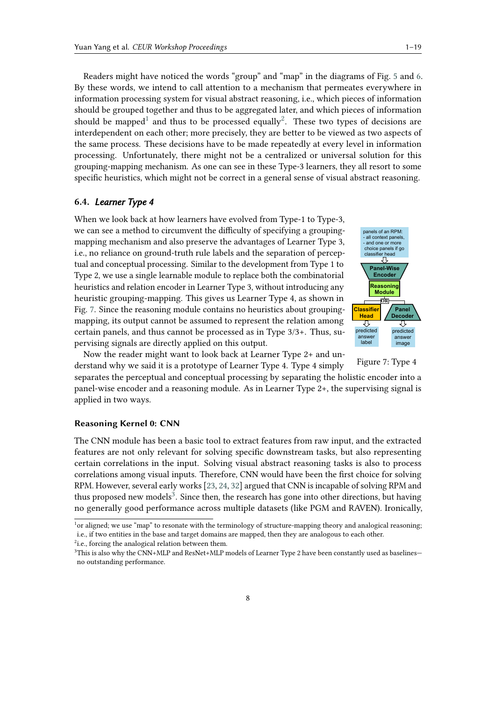Readers might have noticed the words "group" and "map" in the diagrams of Fig. [5](#page-5-1) and [6.](#page-6-0) By these words, we intend to call attention to a mechanism that permeates everywhere in information processing system for visual abstract reasoning, i.e., which pieces of information should be grouped together and thus to be aggregated later, and which pieces of information should be mapped<sup>[1](#page-7-0)</sup> and thus to be processed equally<sup>[2](#page-7-1)</sup>. These two types of decisions are interdependent on each other; more precisely, they are better to be viewed as two aspects of the same process. These decisions have to be made repeatedly at every level in information processing. Unfortunately, there might not be a centralized or universal solution for this grouping-mapping mechanism. As one can see in these Type-3 learners, they all resort to some specific heuristics, which might not be correct in a general sense of visual abstract reasoning.

### **6.4.** *Learner Type 4*

When we look back at how learners have evolved from Type-1 to Type-3, we can see a method to circumvent the difficulty of specifying a groupingmapping mechanism and also preserve the advantages of Learner Type 3, i.e., no reliance on ground-truth rule labels and the separation of perceptual and conceptual processing. Similar to the development from Type 1 to Type 2, we use a single learnable module to replace both the combinatorial heuristics and relation encoder in Learner Type 3, without introducing any heuristic grouping-mapping. This gives us Learner Type 4, as shown in Fig. [7.](#page-7-2) Since the reasoning module contains no heuristics about groupingmapping, its output cannot be assumed to represent the relation among certain panels, and thus cannot be processed as in Type 3/3+. Thus, supervising signals are directly applied on this output.

<span id="page-7-2"></span>

Now the reader might want to look back at Learner Type 2+ and understand why we said it is a prototype of Learner Type 4. Type 4 simply

Figure 7: Type 4

separates the perceptual and conceptual processing by separating the holistic encoder into a panel-wise encoder and a reasoning module. As in Learner Type 2+, the supervising signal is applied in two ways.

### **Reasoning Kernel 0: CNN**

The CNN module has been a basic tool to extract features from raw input, and the extracted features are not only relevant for solving specific downstream tasks, but also representing certain correlations in the input. Solving visual abstract reasoning tasks is also to process correlations among visual inputs. Therefore, CNN would have been the first choice for solving RPM. However, several early works [\[23,](#page-11-1) [24,](#page-11-2) [32\]](#page-11-10) argued that CNN is incapable of solving RPM and thus proposed new models<sup>[3](#page-7-3)</sup>. Since then, the research has gone into other directions, but having no generally good performance across multiple datasets (like PGM and RAVEN). Ironically,

<span id="page-7-0"></span><sup>&</sup>lt;sup>1</sup>or aligned; we use "map" to resonate with the terminology of structure-mapping theory and analogical reasoning; i.e., if two entities in the base and target domains are mapped, then they are analogous to each other.

<span id="page-7-1"></span><sup>&</sup>lt;sup>2</sup>i.e., forcing the analogical relation between them.

<span id="page-7-3"></span><sup>&</sup>lt;sup>3</sup>This is also why the CNN+MLP and ResNet+MLP models of Learner Type 2 have been constantly used as baselines no outstanding performance.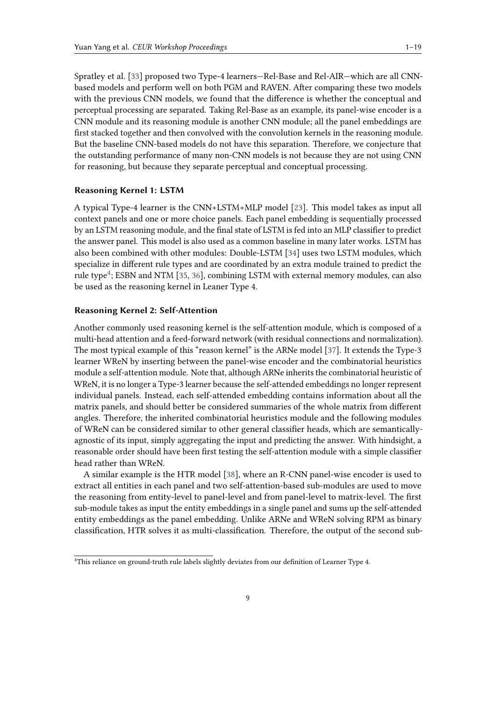Spratley et al. [\[33\]](#page-11-11) proposed two Type-4 learners—Rel-Base and Rel-AIR—which are all CNNbased models and perform well on both PGM and RAVEN. After comparing these two models with the previous CNN models, we found that the difference is whether the conceptual and perceptual processing are separated. Taking Rel-Base as an example, its panel-wise encoder is a CNN module and its reasoning module is another CNN module; all the panel embeddings are first stacked together and then convolved with the convolution kernels in the reasoning module. But the baseline CNN-based models do not have this separation. Therefore, we conjecture that the outstanding performance of many non-CNN models is not because they are not using CNN for reasoning, but because they separate perceptual and conceptual processing.

#### **Reasoning Kernel 1: LSTM**

A typical Type-4 learner is the CNN+LSTM+MLP model [\[23\]](#page-11-1). This model takes as input all context panels and one or more choice panels. Each panel embedding is sequentially processed by an LSTM reasoning module, and the final state of LSTM is fed into an MLP classifier to predict the answer panel. This model is also used as a common baseline in many later works. LSTM has also been combined with other modules: Double-LSTM [\[34\]](#page-11-12) uses two LSTM modules, which specialize in different rule types and are coordinated by an extra module trained to predict the rule type<sup>[4](#page-8-0)</sup>; ESBN and NTM [\[35,](#page-11-13) [36\]](#page-11-14), combining LSTM with external memory modules, can also be used as the reasoning kernel in Leaner Type 4.

#### **Reasoning Kernel 2: Self-Attention**

Another commonly used reasoning kernel is the self-attention module, which is composed of a multi-head attention and a feed-forward network (with residual connections and normalization). The most typical example of this "reason kernel" is the ARNe model [\[37\]](#page-11-15). It extends the Type-3 learner WReN by inserting between the panel-wise encoder and the combinatorial heuristics module a self-attention module. Note that, although ARNe inherits the combinatorial heuristic of WReN, it is no longer a Type-3 learner because the self-attended embeddings no longer represent individual panels. Instead, each self-attended embedding contains information about all the matrix panels, and should better be considered summaries of the whole matrix from different angles. Therefore, the inherited combinatorial heuristics module and the following modules of WReN can be considered similar to other general classifier heads, which are semanticallyagnostic of its input, simply aggregating the input and predicting the answer. With hindsight, a reasonable order should have been first testing the self-attention module with a simple classifier head rather than WReN.

A similar example is the HTR model [\[38\]](#page-11-16), where an R-CNN panel-wise encoder is used to extract all entities in each panel and two self-attention-based sub-modules are used to move the reasoning from entity-level to panel-level and from panel-level to matrix-level. The first sub-module takes as input the entity embeddings in a single panel and sums up the self-attended entity embeddings as the panel embedding. Unlike ARNe and WReN solving RPM as binary classification, HTR solves it as multi-classification. Therefore, the output of the second sub-

<span id="page-8-0"></span><sup>&</sup>lt;sup>4</sup>This reliance on ground-truth rule labels slightly deviates from our definition of Learner Type 4.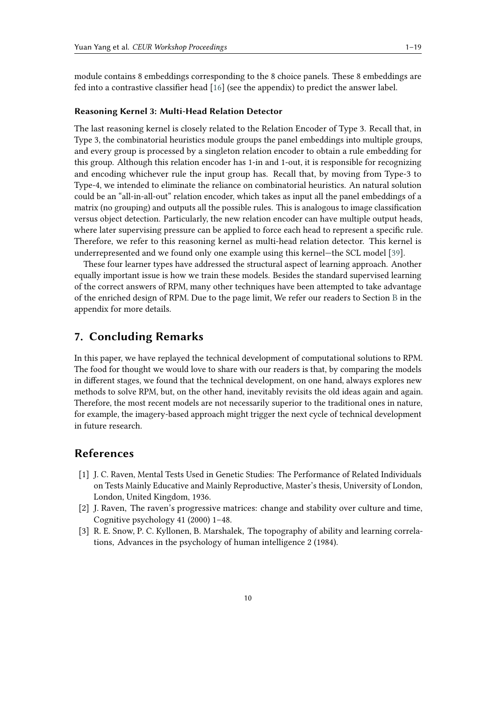module contains 8 embeddings corresponding to the 8 choice panels. These 8 embeddings are fed into a contrastive classifier head [\[16\]](#page-10-12) (see the appendix) to predict the answer label.

#### **Reasoning Kernel 3: Multi-Head Relation Detector**

The last reasoning kernel is closely related to the Relation Encoder of Type 3. Recall that, in Type 3, the combinatorial heuristics module groups the panel embeddings into multiple groups, and every group is processed by a singleton relation encoder to obtain a rule embedding for this group. Although this relation encoder has 1-in and 1-out, it is responsible for recognizing and encoding whichever rule the input group has. Recall that, by moving from Type-3 to Type-4, we intended to eliminate the reliance on combinatorial heuristics. An natural solution could be an "all-in-all-out" relation encoder, which takes as input all the panel embeddings of a matrix (no grouping) and outputs all the possible rules. This is analogous to image classification versus object detection. Particularly, the new relation encoder can have multiple output heads, where later supervising pressure can be applied to force each head to represent a specific rule. Therefore, we refer to this reasoning kernel as multi-head relation detector. This kernel is underrepresented and we found only one example using this kernel—the SCL model [\[39\]](#page-11-17).

These four learner types have addressed the structural aspect of learning approach. Another equally important issue is how we train these models. Besides the standard supervised learning of the correct answers of RPM, many other techniques have been attempted to take advantage of the enriched design of RPM. Due to the page limit, We refer our readers to Section [B](#page-14-0) in the appendix for more details.

# **7. Concluding Remarks**

In this paper, we have replayed the technical development of computational solutions to RPM. The food for thought we would love to share with our readers is that, by comparing the models in different stages, we found that the technical development, on one hand, always explores new methods to solve RPM, but, on the other hand, inevitably revisits the old ideas again and again. Therefore, the most recent models are not necessarily superior to the traditional ones in nature, for example, the imagery-based approach might trigger the next cycle of technical development in future research.

# **References**

- <span id="page-9-0"></span>[1] J. C. Raven, Mental Tests Used in Genetic Studies: The Performance of Related Individuals on Tests Mainly Educative and Mainly Reproductive, Master's thesis, University of London, London, United Kingdom, 1936.
- <span id="page-9-1"></span>[2] J. Raven, The raven's progressive matrices: change and stability over culture and time, Cognitive psychology 41 (2000) 1–48.
- <span id="page-9-2"></span>[3] R. E. Snow, P. C. Kyllonen, B. Marshalek, The topography of ability and learning correlations, Advances in the psychology of human intelligence 2 (1984).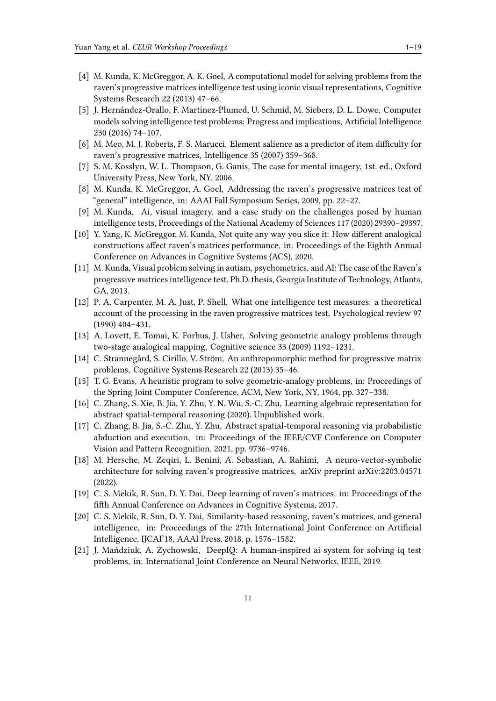- <span id="page-10-2"></span>[4] M. Kunda, K. McGreggor, A. K. Goel, A computational model for solving problems from the raven's progressive matrices intelligence test using iconic visual representations, Cognitive Systems Research 22 (2013) 47–66.
- <span id="page-10-0"></span>[5] J. Hernández-Orallo, F. Martínez-Plumed, U. Schmid, M. Siebers, D. L. Dowe, Computer models solving intelligence test problems: Progress and implications, Artificial Intelligence 230 (2016) 74–107.
- <span id="page-10-1"></span>[6] M. Meo, M. J. Roberts, F. S. Marucci, Element salience as a predictor of item difficulty for raven's progressive matrices, Intelligence 35 (2007) 359–368.
- <span id="page-10-3"></span>[7] S. M. Kosslyn, W. L. Thompson, G. Ganis, The case for mental imagery, 1st. ed., Oxford University Press, New York, NY, 2006.
- <span id="page-10-4"></span>[8] M. Kunda, K. McGreggor, A. Goel, Addressing the raven's progressive matrices test of "general" intelligence, in: AAAI Fall Symposium Series, 2009, pp. 22–27.
- <span id="page-10-5"></span>[9] M. Kunda, Ai, visual imagery, and a case study on the challenges posed by human intelligence tests, Proceedings of the National Academy of Sciences 117 (2020) 29390–29397.
- <span id="page-10-6"></span>[10] Y. Yang, K. McGreggor, M. Kunda, Not quite any way you slice it: How different analogical constructions affect raven's matrices performance, in: Proceedings of the Eighth Annual Conference on Advances in Cognitive Systems (ACS), 2020.
- <span id="page-10-7"></span>[11] M. Kunda, Visual problem solving in autism, psychometrics, and AI: The case of the Raven's progressive matrices intelligence test, Ph.D. thesis, Georgia Institute of Technology, Atlanta, GA, 2013.
- <span id="page-10-8"></span>[12] P. A. Carpenter, M. A. Just, P. Shell, What one intelligence test measures: a theoretical account of the processing in the raven progressive matrices test, Psychological review 97 (1990) 404–431.
- <span id="page-10-9"></span>[13] A. Lovett, E. Tomai, K. Forbus, J. Usher, Solving geometric analogy problems through two-stage analogical mapping, Cognitive science 33 (2009) 1192–1231.
- <span id="page-10-10"></span>[14] C. Strannegård, S. Cirillo, V. Ström, An anthropomorphic method for progressive matrix problems, Cognitive Systems Research 22 (2013) 35–46.
- <span id="page-10-11"></span>[15] T. G. Evans, A heuristic program to solve geometric-analogy problems, in: Proceedings of the Spring Joint Computer Conference, ACM, New York, NY, 1964, pp. 327–338.
- <span id="page-10-12"></span>[16] C. Zhang, S. Xie, B. Jia, Y. Zhu, Y. N. Wu, S.-C. Zhu, Learning algebraic representation for abstract spatial-temporal reasoning (2020). Unpublished work.
- <span id="page-10-13"></span>[17] C. Zhang, B. Jia, S.-C. Zhu, Y. Zhu, Abstract spatial-temporal reasoning via probabilistic abduction and execution, in: Proceedings of the IEEE/CVF Conference on Computer Vision and Pattern Recognition, 2021, pp. 9736–9746.
- <span id="page-10-14"></span>[18] M. Hersche, M. Zeqiri, L. Benini, A. Sebastian, A. Rahimi, A neuro-vector-symbolic architecture for solving raven's progressive matrices, arXiv preprint arXiv:2203.04571 (2022).
- <span id="page-10-15"></span>[19] C. S. Mekik, R. Sun, D. Y. Dai, Deep learning of raven's matrices, in: Proceedings of the fifth Annual Conference on Advances in Cognitive Systems, 2017.
- <span id="page-10-16"></span>[20] C. S. Mekik, R. Sun, D. Y. Dai, Similarity-based reasoning, raven's matrices, and general intelligence, in: Proceedings of the 27th International Joint Conference on Artificial Intelligence, IJCAI'18, AAAI Press, 2018, p. 1576–1582.
- <span id="page-10-17"></span>[21] J. Mańdziuk, A. Żychowski, DeepIQ: A human-inspired ai system for solving iq test problems, in: International Joint Conference on Neural Networks, IEEE, 2019.

11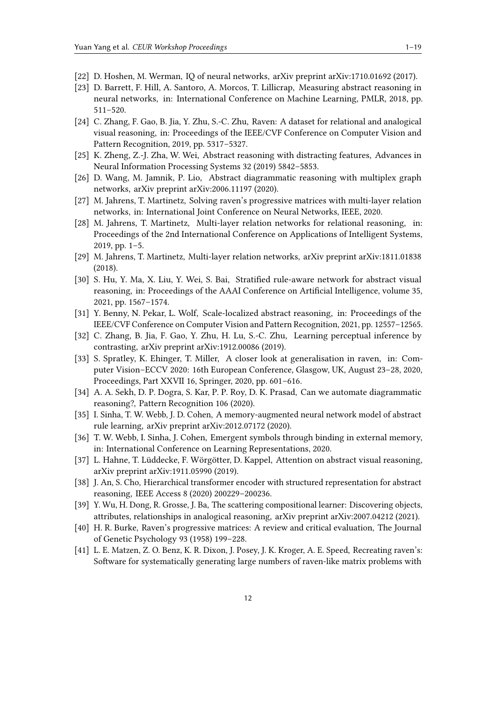- <span id="page-11-0"></span>[22] D. Hoshen, M. Werman, IQ of neural networks, arXiv preprint arXiv:1710.01692 (2017).
- <span id="page-11-1"></span>[23] D. Barrett, F. Hill, A. Santoro, A. Morcos, T. Lillicrap, Measuring abstract reasoning in neural networks, in: International Conference on Machine Learning, PMLR, 2018, pp. 511–520.
- <span id="page-11-2"></span>[24] C. Zhang, F. Gao, B. Jia, Y. Zhu, S.-C. Zhu, Raven: A dataset for relational and analogical visual reasoning, in: Proceedings of the IEEE/CVF Conference on Computer Vision and Pattern Recognition, 2019, pp. 5317–5327.
- <span id="page-11-3"></span>[25] K. Zheng, Z.-J. Zha, W. Wei, Abstract reasoning with distracting features, Advances in Neural Information Processing Systems 32 (2019) 5842–5853.
- <span id="page-11-4"></span>[26] D. Wang, M. Jamnik, P. Lio, Abstract diagrammatic reasoning with multiplex graph networks, arXiv preprint arXiv:2006.11197 (2020).
- <span id="page-11-5"></span>[27] M. Jahrens, T. Martinetz, Solving raven's progressive matrices with multi-layer relation networks, in: International Joint Conference on Neural Networks, IEEE, 2020.
- <span id="page-11-6"></span>[28] M. Jahrens, T. Martinetz, Multi-layer relation networks for relational reasoning, in: Proceedings of the 2nd International Conference on Applications of Intelligent Systems, 2019, pp. 1–5.
- <span id="page-11-7"></span>[29] M. Jahrens, T. Martinetz, Multi-layer relation networks, arXiv preprint arXiv:1811.01838 (2018).
- <span id="page-11-8"></span>[30] S. Hu, Y. Ma, X. Liu, Y. Wei, S. Bai, Stratified rule-aware network for abstract visual reasoning, in: Proceedings of the AAAI Conference on Artificial Intelligence, volume 35, 2021, pp. 1567–1574.
- <span id="page-11-9"></span>[31] Y. Benny, N. Pekar, L. Wolf, Scale-localized abstract reasoning, in: Proceedings of the IEEE/CVF Conference on Computer Vision and Pattern Recognition, 2021, pp. 12557–12565.
- <span id="page-11-10"></span>[32] C. Zhang, B. Jia, F. Gao, Y. Zhu, H. Lu, S.-C. Zhu, Learning perceptual inference by contrasting, arXiv preprint arXiv:1912.00086 (2019).
- <span id="page-11-11"></span>[33] S. Spratley, K. Ehinger, T. Miller, A closer look at generalisation in raven, in: Computer Vision–ECCV 2020: 16th European Conference, Glasgow, UK, August 23–28, 2020, Proceedings, Part XXVII 16, Springer, 2020, pp. 601–616.
- <span id="page-11-12"></span>[34] A. A. Sekh, D. P. Dogra, S. Kar, P. P. Roy, D. K. Prasad, Can we automate diagrammatic reasoning?, Pattern Recognition 106 (2020).
- <span id="page-11-13"></span>[35] I. Sinha, T. W. Webb, J. D. Cohen, A memory-augmented neural network model of abstract rule learning, arXiv preprint arXiv:2012.07172 (2020).
- <span id="page-11-14"></span>[36] T. W. Webb, I. Sinha, J. Cohen, Emergent symbols through binding in external memory, in: International Conference on Learning Representations, 2020.
- <span id="page-11-15"></span>[37] L. Hahne, T. Lüddecke, F. Wörgötter, D. Kappel, Attention on abstract visual reasoning, arXiv preprint arXiv:1911.05990 (2019).
- <span id="page-11-16"></span>[38] J. An, S. Cho, Hierarchical transformer encoder with structured representation for abstract reasoning, IEEE Access 8 (2020) 200229–200236.
- <span id="page-11-17"></span>[39] Y. Wu, H. Dong, R. Grosse, J. Ba, The scattering compositional learner: Discovering objects, attributes, relationships in analogical reasoning, arXiv preprint arXiv:2007.04212 (2021).
- <span id="page-11-18"></span>[40] H. R. Burke, Raven's progressive matrices: A review and critical evaluation, The Journal of Genetic Psychology 93 (1958) 199–228.
- <span id="page-11-19"></span>[41] L. E. Matzen, Z. O. Benz, K. R. Dixon, J. Posey, J. K. Kroger, A. E. Speed, Recreating raven's: Software for systematically generating large numbers of raven-like matrix problems with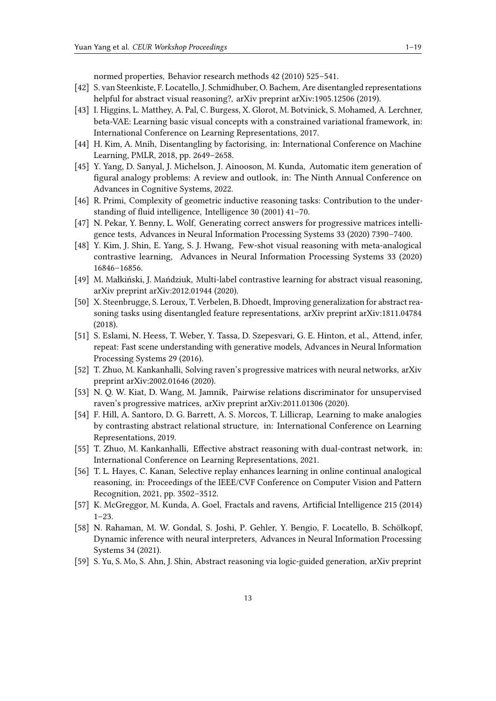normed properties, Behavior research methods 42 (2010) 525–541.

- <span id="page-12-0"></span>[42] S. van Steenkiste, F. Locatello, J. Schmidhuber, O. Bachem, Are disentangled representations helpful for abstract visual reasoning?, arXiv preprint arXiv:1905.12506 (2019).
- <span id="page-12-1"></span>[43] I. Higgins, L. Matthey, A. Pal, C. Burgess, X. Glorot, M. Botvinick, S. Mohamed, A. Lerchner, beta-VAE: Learning basic visual concepts with a constrained variational framework, in: International Conference on Learning Representations, 2017.
- <span id="page-12-2"></span>[44] H. Kim, A. Mnih, Disentangling by factorising, in: International Conference on Machine Learning, PMLR, 2018, pp. 2649–2658.
- <span id="page-12-3"></span>[45] Y. Yang, D. Sanyal, J. Michelson, J. Ainooson, M. Kunda, Automatic item generation of figural analogy problems: A review and outlook, in: The Ninth Annual Conference on Advances in Cognitive Systems, 2022.
- <span id="page-12-4"></span>[46] R. Primi, Complexity of geometric inductive reasoning tasks: Contribution to the understanding of fluid intelligence, Intelligence 30 (2001) 41–70.
- <span id="page-12-5"></span>[47] N. Pekar, Y. Benny, L. Wolf, Generating correct answers for progressive matrices intelligence tests, Advances in Neural Information Processing Systems 33 (2020) 7390–7400.
- <span id="page-12-6"></span>[48] Y. Kim, J. Shin, E. Yang, S. J. Hwang, Few-shot visual reasoning with meta-analogical contrastive learning, Advances in Neural Information Processing Systems 33 (2020) 16846–16856.
- <span id="page-12-7"></span>[49] M. Małkiński, J. Mańdziuk, Multi-label contrastive learning for abstract visual reasoning, arXiv preprint arXiv:2012.01944 (2020).
- <span id="page-12-8"></span>[50] X. Steenbrugge, S. Leroux, T. Verbelen, B. Dhoedt, Improving generalization for abstract reasoning tasks using disentangled feature representations, arXiv preprint arXiv:1811.04784 (2018).
- <span id="page-12-9"></span>[51] S. Eslami, N. Heess, T. Weber, Y. Tassa, D. Szepesvari, G. E. Hinton, et al., Attend, infer, repeat: Fast scene understanding with generative models, Advances in Neural Information Processing Systems 29 (2016).
- <span id="page-12-10"></span>[52] T. Zhuo, M. Kankanhalli, Solving raven's progressive matrices with neural networks, arXiv preprint arXiv:2002.01646 (2020).
- <span id="page-12-11"></span>[53] N. Q. W. Kiat, D. Wang, M. Jamnik, Pairwise relations discriminator for unsupervised raven's progressive matrices, arXiv preprint arXiv:2011.01306 (2020).
- <span id="page-12-12"></span>[54] F. Hill, A. Santoro, D. G. Barrett, A. S. Morcos, T. Lillicrap, Learning to make analogies by contrasting abstract relational structure, in: International Conference on Learning Representations, 2019.
- <span id="page-12-13"></span>[55] T. Zhuo, M. Kankanhalli, Effective abstract reasoning with dual-contrast network, in: International Conference on Learning Representations, 2021.
- <span id="page-12-14"></span>[56] T. L. Hayes, C. Kanan, Selective replay enhances learning in online continual analogical reasoning, in: Proceedings of the IEEE/CVF Conference on Computer Vision and Pattern Recognition, 2021, pp. 3502–3512.
- <span id="page-12-15"></span>[57] K. McGreggor, M. Kunda, A. Goel, Fractals and ravens, Artificial Intelligence 215 (2014)  $1 - 23$
- <span id="page-12-16"></span>[58] N. Rahaman, M. W. Gondal, S. Joshi, P. Gehler, Y. Bengio, F. Locatello, B. Schölkopf, Dynamic inference with neural interpreters, Advances in Neural Information Processing Systems 34 (2021).
- <span id="page-12-17"></span>[59] S. Yu, S. Mo, S. Ahn, J. Shin, Abstract reasoning via logic-guided generation, arXiv preprint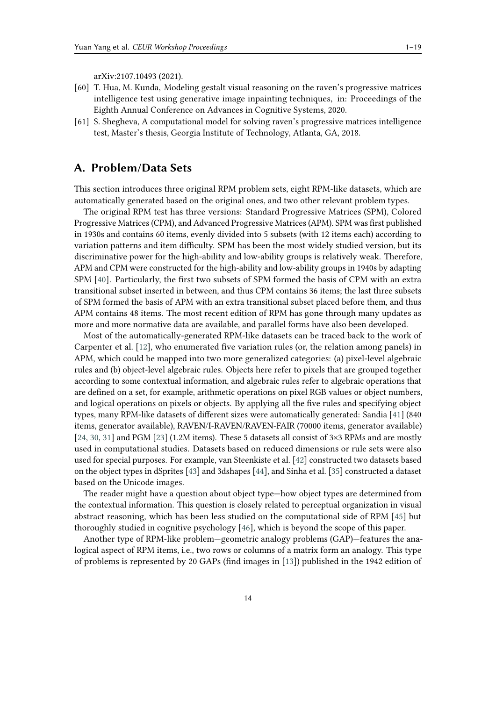arXiv:2107.10493 (2021).

- <span id="page-13-1"></span>[60] T. Hua, M. Kunda, Modeling gestalt visual reasoning on the raven's progressive matrices intelligence test using generative image inpainting techniques, in: Proceedings of the Eighth Annual Conference on Advances in Cognitive Systems, 2020.
- <span id="page-13-2"></span>[61] S. Shegheva, A computational model for solving raven's progressive matrices intelligence test, Master's thesis, Georgia Institute of Technology, Atlanta, GA, 2018.

# <span id="page-13-0"></span>**A. Problem/Data Sets**

This section introduces three original RPM problem sets, eight RPM-like datasets, which are automatically generated based on the original ones, and two other relevant problem types.

The original RPM test has three versions: Standard Progressive Matrices (SPM), Colored Progressive Matrices (CPM), and Advanced Progressive Matrices (APM). SPM was first published in 1930s and contains 60 items, evenly divided into 5 subsets (with 12 items each) according to variation patterns and item difficulty. SPM has been the most widely studied version, but its discriminative power for the high-ability and low-ability groups is relatively weak. Therefore, APM and CPM were constructed for the high-ability and low-ability groups in 1940s by adapting SPM [\[40\]](#page-11-18). Particularly, the first two subsets of SPM formed the basis of CPM with an extra transitional subset inserted in between, and thus CPM contains 36 items; the last three subsets of SPM formed the basis of APM with an extra transitional subset placed before them, and thus APM contains 48 items. The most recent edition of RPM has gone through many updates as more and more normative data are available, and parallel forms have also been developed.

Most of the automatically-generated RPM-like datasets can be traced back to the work of Carpenter et al. [\[12\]](#page-10-8), who enumerated five variation rules (or, the relation among panels) in APM, which could be mapped into two more generalized categories: (a) pixel-level algebraic rules and (b) object-level algebraic rules. Objects here refer to pixels that are grouped together according to some contextual information, and algebraic rules refer to algebraic operations that are defined on a set, for example, arithmetic operations on pixel RGB values or object numbers, and logical operations on pixels or objects. By applying all the five rules and specifying object types, many RPM-like datasets of different sizes were automatically generated: Sandia [\[41\]](#page-11-19) (840 items, generator available), RAVEN/I-RAVEN/RAVEN-FAIR (70000 items, generator available) [\[24,](#page-11-2) [30,](#page-11-8) [31\]](#page-11-9) and PGM [\[23\]](#page-11-1) (1.2M items). These 5 datasets all consist of 3×3 RPMs and are mostly used in computational studies. Datasets based on reduced dimensions or rule sets were also used for special purposes. For example, van Steenkiste et al. [\[42\]](#page-12-0) constructed two datasets based on the object types in dSprites [\[43\]](#page-12-1) and 3dshapes [\[44\]](#page-12-2), and Sinha et al. [\[35\]](#page-11-13) constructed a dataset based on the Unicode images.

The reader might have a question about object type—how object types are determined from the contextual information. This question is closely related to perceptual organization in visual abstract reasoning, which has been less studied on the computational side of RPM [\[45\]](#page-12-3) but thoroughly studied in cognitive psychology [\[46\]](#page-12-4), which is beyond the scope of this paper.

Another type of RPM-like problem—geometric analogy problems (GAP)—features the analogical aspect of RPM items, i.e., two rows or columns of a matrix form an analogy. This type of problems is represented by 20 GAPs (find images in [\[13\]](#page-10-9)) published in the 1942 edition of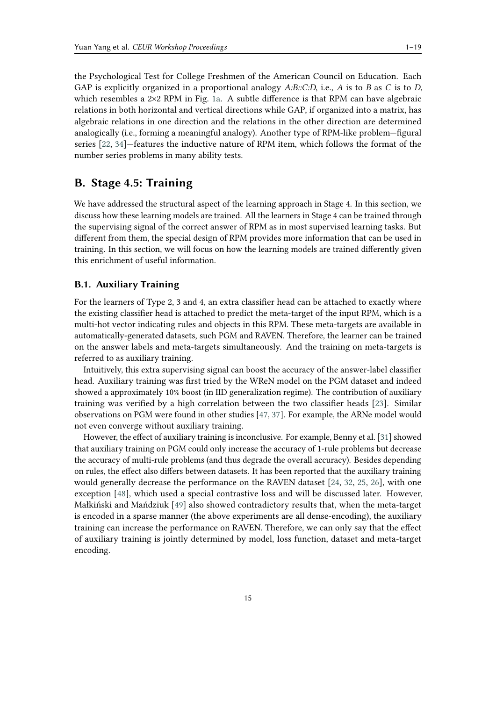the Psychological Test for College Freshmen of the American Council on Education. Each GAP is explicitly organized in a proportional analogy *A:B::C:D*, i.e., *A* is to *B* as *C* is to *D*, which resembles a 2×2 RPM in Fig. [1a.](#page-1-0) A subtle difference is that RPM can have algebraic relations in both horizontal and vertical directions while GAP, if organized into a matrix, has algebraic relations in one direction and the relations in the other direction are determined analogically (i.e., forming a meaningful analogy). Another type of RPM-like problem—figural series [\[22,](#page-11-0) [34\]](#page-11-12)—features the inductive nature of RPM item, which follows the format of the number series problems in many ability tests.

# <span id="page-14-0"></span>**B. Stage 4.5: Training**

We have addressed the structural aspect of the learning approach in Stage 4. In this section, we discuss how these learning models are trained. All the learners in Stage 4 can be trained through the supervising signal of the correct answer of RPM as in most supervised learning tasks. But different from them, the special design of RPM provides more information that can be used in training. In this section, we will focus on how the learning models are trained differently given this enrichment of useful information.

### **B.1. Auxiliary Training**

For the learners of Type 2, 3 and 4, an extra classifier head can be attached to exactly where the existing classifier head is attached to predict the meta-target of the input RPM, which is a multi-hot vector indicating rules and objects in this RPM. These meta-targets are available in automatically-generated datasets, such PGM and RAVEN. Therefore, the learner can be trained on the answer labels and meta-targets simultaneously. And the training on meta-targets is referred to as auxiliary training.

Intuitively, this extra supervising signal can boost the accuracy of the answer-label classifier head. Auxiliary training was first tried by the WReN model on the PGM dataset and indeed showed a approximately 10% boost (in IID generalization regime). The contribution of auxiliary training was verified by a high correlation between the two classifier heads [\[23\]](#page-11-1). Similar observations on PGM were found in other studies [\[47,](#page-12-5) [37\]](#page-11-15). For example, the ARNe model would not even converge without auxiliary training.

However, the effect of auxiliary training is inconclusive. For example, Benny et al. [\[31\]](#page-11-9) showed that auxiliary training on PGM could only increase the accuracy of 1-rule problems but decrease the accuracy of multi-rule problems (and thus degrade the overall accuracy). Besides depending on rules, the effect also differs between datasets. It has been reported that the auxiliary training would generally decrease the performance on the RAVEN dataset [\[24,](#page-11-2) [32,](#page-11-10) [25,](#page-11-3) [26\]](#page-11-4), with one exception [\[48\]](#page-12-6), which used a special contrastive loss and will be discussed later. However, Małkiński and Mańdziuk [\[49\]](#page-12-7) also showed contradictory results that, when the meta-target is encoded in a sparse manner (the above experiments are all dense-encoding), the auxiliary training can increase the performance on RAVEN. Therefore, we can only say that the effect of auxiliary training is jointly determined by model, loss function, dataset and meta-target encoding.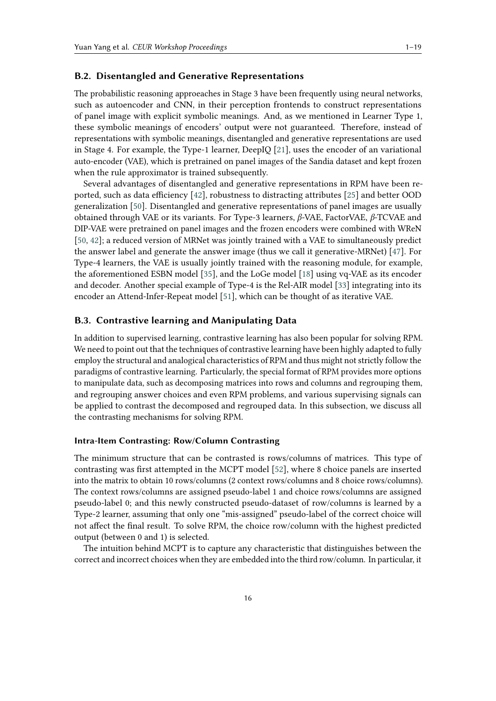### **B.2. Disentangled and Generative Representations**

The probabilistic reasoning approeaches in Stage 3 have been frequently using neural networks, such as autoencoder and CNN, in their perception frontends to construct representations of panel image with explicit symbolic meanings. And, as we mentioned in Learner Type 1, these symbolic meanings of encoders' output were not guaranteed. Therefore, instead of representations with symbolic meanings, disentangled and generative representations are used in Stage 4. For example, the Type-1 learner, DeepIQ [\[21\]](#page-10-17), uses the encoder of an variational auto-encoder (VAE), which is pretrained on panel images of the Sandia dataset and kept frozen when the rule approximator is trained subsequently.

Several advantages of disentangled and generative representations in RPM have been reported, such as data efficiency [\[42\]](#page-12-0), robustness to distracting attributes [\[25\]](#page-11-3) and better OOD generalization [\[50\]](#page-12-8). Disentangled and generative representations of panel images are usually obtained through VAE or its variants. For Type-3 learners,  $\beta$ -VAE, FactorVAE,  $\beta$ -TCVAE and DIP-VAE were pretrained on panel images and the frozen encoders were combined with WReN [\[50,](#page-12-8) [42\]](#page-12-0); a reduced version of MRNet was jointly trained with a VAE to simultaneously predict the answer label and generate the answer image (thus we call it generative-MRNet) [\[47\]](#page-12-5). For Type-4 learners, the VAE is usually jointly trained with the reasoning module, for example, the aforementioned ESBN model [\[35\]](#page-11-13), and the LoGe model [\[18\]](#page-10-14) using vq-VAE as its encoder and decoder. Another special example of Type-4 is the Rel-AIR model [\[33\]](#page-11-11) integrating into its encoder an Attend-Infer-Repeat model [\[51\]](#page-12-9), which can be thought of as iterative VAE.

### **B.3. Contrastive learning and Manipulating Data**

In addition to supervised learning, contrastive learning has also been popular for solving RPM. We need to point out that the techniques of contrastive learning have been highly adapted to fully employ the structural and analogical characteristics of RPM and thus might not strictly follow the paradigms of contrastive learning. Particularly, the special format of RPM provides more options to manipulate data, such as decomposing matrices into rows and columns and regrouping them, and regrouping answer choices and even RPM problems, and various supervising signals can be applied to contrast the decomposed and regrouped data. In this subsection, we discuss all the contrasting mechanisms for solving RPM.

### **Intra-Item Contrasting: Row/Column Contrasting**

The minimum structure that can be contrasted is rows/columns of matrices. This type of contrasting was first attempted in the MCPT model [\[52\]](#page-12-10), where 8 choice panels are inserted into the matrix to obtain 10 rows/columns (2 context rows/columns and 8 choice rows/columns). The context rows/columns are assigned pseudo-label 1 and choice rows/columns are assigned pseudo-label 0; and this newly constructed pseudo-dataset of row/columns is learned by a Type-2 learner, assuming that only one "mis-assigned" pseudo-label of the correct choice will not affect the final result. To solve RPM, the choice row/column with the highest predicted output (between 0 and 1) is selected.

The intuition behind MCPT is to capture any characteristic that distinguishes between the correct and incorrect choices when they are embedded into the third row/column. In particular, it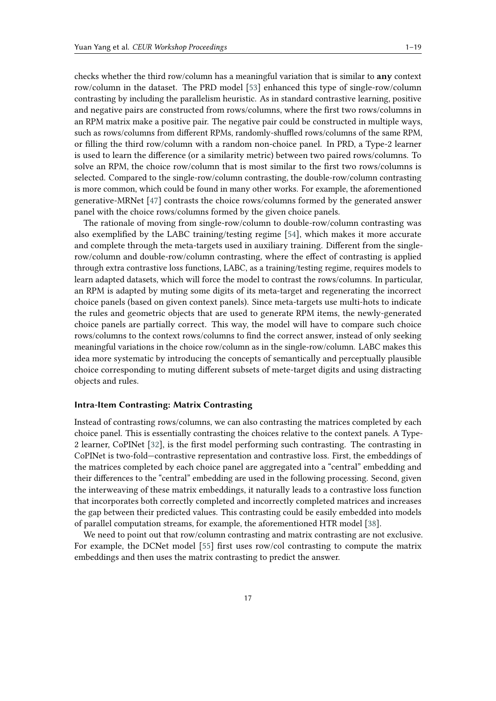checks whether the third row/column has a meaningful variation that is similar to **any** context row/column in the dataset. The PRD model [\[53\]](#page-12-11) enhanced this type of single-row/column contrasting by including the parallelism heuristic. As in standard contrastive learning, positive and negative pairs are constructed from rows/columns, where the first two rows/columns in an RPM matrix make a positive pair. The negative pair could be constructed in multiple ways, such as rows/columns from different RPMs, randomly-shuffled rows/columns of the same RPM, or filling the third row/column with a random non-choice panel. In PRD, a Type-2 learner is used to learn the difference (or a similarity metric) between two paired rows/columns. To solve an RPM, the choice row/column that is most similar to the first two rows/columns is selected. Compared to the single-row/column contrasting, the double-row/column contrasting is more common, which could be found in many other works. For example, the aforementioned generative-MRNet [\[47\]](#page-12-5) contrasts the choice rows/columns formed by the generated answer panel with the choice rows/columns formed by the given choice panels.

The rationale of moving from single-row/column to double-row/column contrasting was also exemplified by the LABC training/testing regime [\[54\]](#page-12-12), which makes it more accurate and complete through the meta-targets used in auxiliary training. Different from the singlerow/column and double-row/column contrasting, where the effect of contrasting is applied through extra contrastive loss functions, LABC, as a training/testing regime, requires models to learn adapted datasets, which will force the model to contrast the rows/columns. In particular, an RPM is adapted by muting some digits of its meta-target and regenerating the incorrect choice panels (based on given context panels). Since meta-targets use multi-hots to indicate the rules and geometric objects that are used to generate RPM items, the newly-generated choice panels are partially correct. This way, the model will have to compare such choice rows/columns to the context rows/columns to find the correct answer, instead of only seeking meaningful variations in the choice row/column as in the single-row/column. LABC makes this idea more systematic by introducing the concepts of semantically and perceptually plausible choice corresponding to muting different subsets of mete-target digits and using distracting objects and rules.

### **Intra-Item Contrasting: Matrix Contrasting**

Instead of contrasting rows/columns, we can also contrasting the matrices completed by each choice panel. This is essentially contrasting the choices relative to the context panels. A Type-2 learner, CoPINet [\[32\]](#page-11-10), is the first model performing such contrasting. The contrasting in CoPINet is two-fold—contrastive representation and contrastive loss. First, the embeddings of the matrices completed by each choice panel are aggregated into a "central" embedding and their differences to the "central" embedding are used in the following processing. Second, given the interweaving of these matrix embeddings, it naturally leads to a contrastive loss function that incorporates both correctly completed and incorrectly completed matrices and increases the gap between their predicted values. This contrasting could be easily embedded into models of parallel computation streams, for example, the aforementioned HTR model [\[38\]](#page-11-16).

We need to point out that row/column contrasting and matrix contrasting are not exclusive. For example, the DCNet model [\[55\]](#page-12-13) first uses row/col contrasting to compute the matrix embeddings and then uses the matrix contrasting to predict the answer.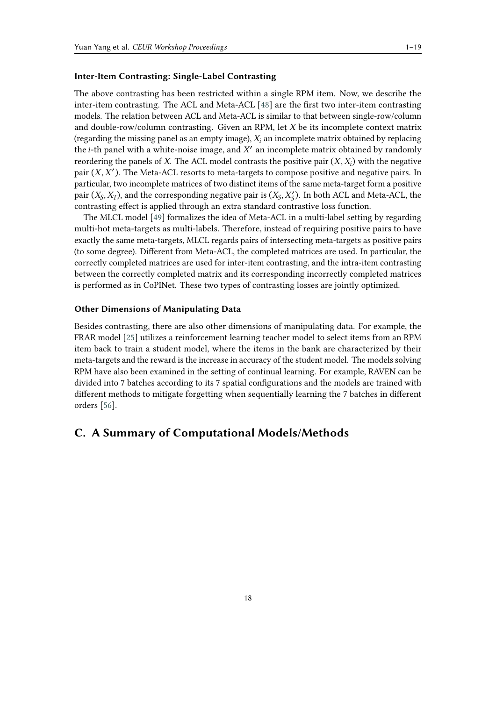### **Inter-Item Contrasting: Single-Label Contrasting**

The above contrasting has been restricted within a single RPM item. Now, we describe the inter-item contrasting. The ACL and Meta-ACL [\[48\]](#page-12-6) are the first two inter-item contrasting models. The relation between ACL and Meta-ACL is similar to that between single-row/column and double-row/column contrasting. Given an RPM, let  $X$  be its incomplete context matrix (regarding the missing panel as an empty image),  $X_i$  an incomplete matrix obtained by replacing the *i*-th panel with a white-noise image, and  $X'$  an incomplete matrix obtained by randomly reordering the panels of X. The ACL model contrasts the positive pair  $(X, X_i)$  with the negative pair  $(X, X')$ . The Meta-ACL resorts to meta-targets to compose positive and negative pairs. In particular, two incomplete matrices of two distinct items of the same meta-target form a positive pair  $(X_S, X_T)$ , and the corresponding negative pair is  $(X_S, X_S')$ . In both ACL and Meta-ACL, the contrasting effect is applied through an extra standard contrastive loss function.

The MLCL model [\[49\]](#page-12-7) formalizes the idea of Meta-ACL in a multi-label setting by regarding multi-hot meta-targets as multi-labels. Therefore, instead of requiring positive pairs to have exactly the same meta-targets, MLCL regards pairs of intersecting meta-targets as positive pairs (to some degree). Different from Meta-ACL, the completed matrices are used. In particular, the correctly completed matrices are used for inter-item contrasting, and the intra-item contrasting between the correctly completed matrix and its corresponding incorrectly completed matrices is performed as in CoPINet. These two types of contrasting losses are jointly optimized.

### **Other Dimensions of Manipulating Data**

Besides contrasting, there are also other dimensions of manipulating data. For example, the FRAR model [\[25\]](#page-11-3) utilizes a reinforcement learning teacher model to select items from an RPM item back to train a student model, where the items in the bank are characterized by their meta-targets and the reward is the increase in accuracy of the student model. The models solving RPM have also been examined in the setting of continual learning. For example, RAVEN can be divided into 7 batches according to its 7 spatial configurations and the models are trained with different methods to mitigate forgetting when sequentially learning the 7 batches in different orders [\[56\]](#page-12-14).

# **C. A Summary of Computational Models/Methods**